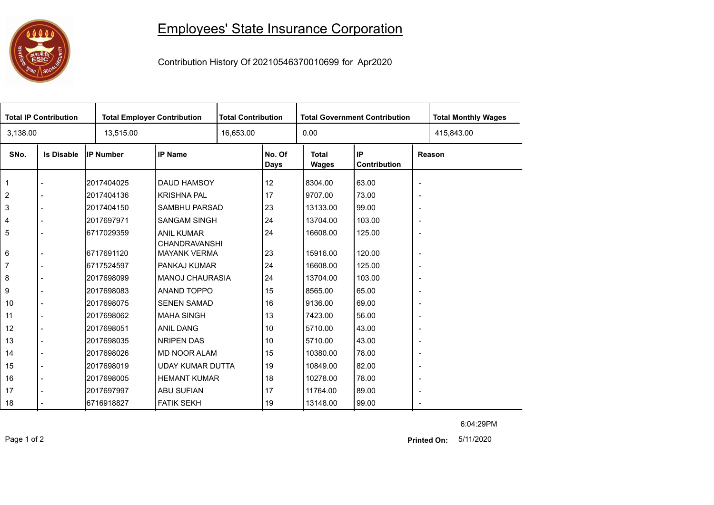## 0000

## Employees' State Insurance Corporation

Contribution History Of 20210546370010699 for Apr2020

| <b>Total IP Contribution</b> |                   |                  | <b>Total Employer Contribution</b>   |           | <b>Total Contribution</b> |                       | <b>Total Government Contribution</b> | <b>Total Monthly Wages</b> |            |  |
|------------------------------|-------------------|------------------|--------------------------------------|-----------|---------------------------|-----------------------|--------------------------------------|----------------------------|------------|--|
| 3,138.00                     |                   | 13,515.00        |                                      | 16,653.00 |                           | 0.00                  |                                      |                            | 415,843.00 |  |
| SNo.                         | <b>Is Disable</b> | <b>IP Number</b> | <b>IP Name</b>                       |           | No. Of<br>Days            | <b>Total</b><br>Wages | IP<br>Contribution                   | Reason                     |            |  |
| 1                            |                   | 2017404025       | <b>DAUD HAMSOY</b>                   |           | 12                        | 8304.00               | 63.00                                | $\overline{\phantom{a}}$   |            |  |
| 2                            |                   | 2017404136       | <b>KRISHNA PAL</b>                   |           | 17                        | 9707.00               | 73.00                                | $\overline{\phantom{a}}$   |            |  |
| 3                            |                   | 2017404150       | SAMBHU PARSAD                        |           | 23                        | 13133.00              | 99.00                                | $\overline{\phantom{a}}$   |            |  |
| 4                            |                   | 2017697971       | <b>SANGAM SINGH</b>                  |           | 24                        | 13704.00              | 103.00                               | $\overline{\phantom{a}}$   |            |  |
| 5                            |                   | 6717029359       | <b>ANIL KUMAR</b>                    |           | 24                        | 16608.00              | 125.00                               | $\overline{\phantom{a}}$   |            |  |
| 6                            |                   | 6717691120       | CHANDRAVANSHI<br><b>MAYANK VERMA</b> |           | 23                        | 15916.00              | 120.00                               | $\overline{\phantom{a}}$   |            |  |
| 7                            |                   | 6717524597       | PANKAJ KUMAR                         |           | 24                        | 16608.00              | 125.00                               | $\overline{\phantom{a}}$   |            |  |
| 8                            |                   | 2017698099       | <b>MANOJ CHAURASIA</b>               |           | 24                        | 13704.00              | 103.00                               | $\overline{\phantom{a}}$   |            |  |
| 9                            |                   | 2017698083       | ANAND TOPPO                          |           | 15                        | 8565.00               | 65.00                                | $\overline{\phantom{a}}$   |            |  |
| 10                           |                   | 2017698075       | <b>SENEN SAMAD</b>                   |           | 16                        | 9136.00               | 69.00                                | $\overline{\phantom{a}}$   |            |  |
| 11                           |                   | 2017698062       | <b>MAHA SINGH</b>                    |           | 13                        | 7423.00               | 56.00                                | $\overline{\phantom{a}}$   |            |  |
| 12                           |                   | 2017698051       | ANIL DANG                            |           | 10                        | 5710.00               | 43.00                                | $\overline{\phantom{a}}$   |            |  |
| 13                           |                   | 2017698035       | <b>NRIPEN DAS</b>                    |           | 10                        | 5710.00               | 43.00                                | $\overline{\phantom{a}}$   |            |  |
| 14                           |                   | 2017698026       | <b>MD NOOR ALAM</b>                  |           | 15                        | 10380.00              | 78.00                                | $\overline{\phantom{a}}$   |            |  |
| 15                           |                   | 2017698019       | <b>UDAY KUMAR DUTTA</b>              |           | 19                        | 10849.00              | 82.00                                | $\overline{\phantom{a}}$   |            |  |
| 16                           |                   | 2017698005       | <b>HEMANT KUMAR</b>                  |           | 18                        | 10278.00              | 78.00                                | $\overline{\phantom{a}}$   |            |  |
| 17                           |                   | 2017697997       | <b>ABU SUFIAN</b>                    |           | 17                        | 11764.00              | 89.00                                | $\overline{\phantom{a}}$   |            |  |
| 18                           |                   | 16716918827      | <b>FATIK SEKH</b>                    |           | 19                        | 13148.00              | 99.00                                |                            |            |  |

6:04:29PM